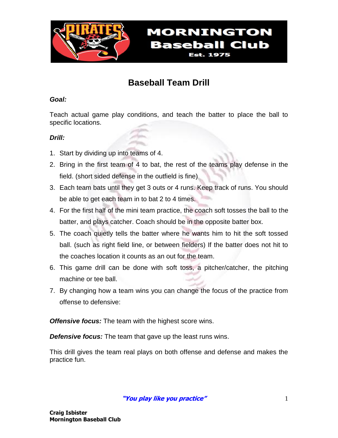

## **Baseball Team Drill**

**MORNINGTON** 

**Baseball Club Est. 1975** 

### *Goal:*

Teach actual game play conditions, and teach the batter to place the ball to specific locations.

### *Drill:*

- 1. Start by dividing up into teams of 4.
- 2. Bring in the first team of 4 to bat, the rest of the teams play defense in the field. (short sided defense in the outfield is fine)
- 3. Each team bats until they get 3 outs or 4 runs. Keep track of runs. You should be able to get each team in to bat 2 to 4 times.
- 4. For the first half of the mini team practice, the coach soft tosses the ball to the batter, and plays catcher. Coach should be in the opposite batter box.
- 5. The coach quietly tells the batter where he wants him to hit the soft tossed ball. (such as right field line, or between fielders) If the batter does not hit to the coaches location it counts as an out for the team.
- 6. This game drill can be done with soft toss, a pitcher/catcher, the pitching machine or tee ball.
- 7. By changing how a team wins you can change the focus of the practice from offense to defensive:

*Offensive focus:* The team with the highest score wins.

**Defensive focus:** The team that gave up the least runs wins.

This drill gives the team real plays on both offense and defense and makes the practice fun.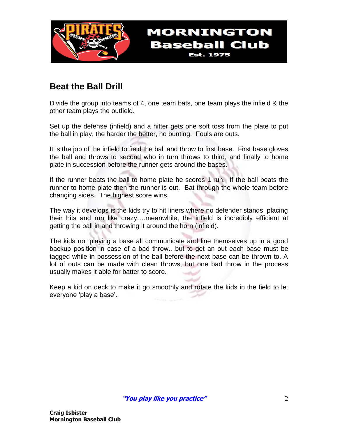

### **Beat the Ball Drill**

Divide the group into teams of 4, one team bats, one team plays the infield & the other team plays the outfield.

**MORNINGTON** 

**Baseball Club Est. 1975** 

Set up the defense (infield) and a hitter gets one soft toss from the plate to put the ball in play, the harder the better, no bunting. Fouls are outs.

It is the job of the infield to field the ball and throw to first base. First base gloves the ball and throws to second who in turn throws to third, and finally to home plate in succession before the runner gets around the bases.

If the runner beats the ball to home plate he scores 1 run. If the ball beats the runner to home plate then the runner is out. Bat through the whole team before changing sides. The highest score wins.

The way it develops is the kids try to hit liners where no defender stands, placing their hits and run like crazy….meanwhile, the infield is incredibly efficient at getting the ball in and throwing it around the horn (infield).

The kids not playing a base all communicate and line themselves up in a good backup position in case of a bad throw…but to get an out each base must be tagged while in possession of the ball before the next base can be thrown to. A lot of outs can be made with clean throws, but one bad throw in the process usually makes it able for batter to score.

Keep a kid on deck to make it go smoothly and rotate the kids in the field to let everyone 'play a base'.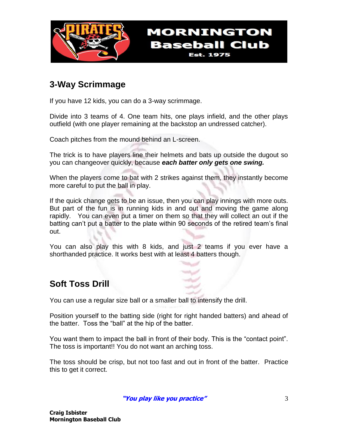

## **3-Way Scrimmage**

If you have 12 kids, you can do a 3-way scrimmage.

Divide into 3 teams of 4. One team hits, one plays infield, and the other plays outfield (with one player remaining at the backstop an undressed catcher).

**MORNINGTON** 

**Baseball Club Est. 1975** 

Coach pitches from the mound behind an L-screen.

The trick is to have players line their helmets and bats up outside the dugout so you can changeover quickly, because *each batter only gets one swing.*

When the players come to bat with 2 strikes against them, they instantly become more careful to put the ball in play.

If the quick change gets to be an issue, then you can play innings with more outs. But part of the fun is in running kids in and out and moving the game along rapidly. You can even put a timer on them so that they will collect an out if the batting can't put a batter to the plate within 90 seconds of the retired team's final out.

You can also play this with 8 kids, and just 2 teams if you ever have a shorthanded practice. It works best with at least 4 batters though.

### **Soft Toss Drill**

You can use a regular size ball or a smaller ball to intensify the drill.

Position yourself to the batting side (right for right handed batters) and ahead of the batter. Toss the "ball" at the hip of the batter.

You want them to impact the ball in front of their body. This is the "contact point". The toss is important!! You do not want an arching toss.

The toss should be crisp, but not too fast and out in front of the batter. Practice this to get it correct.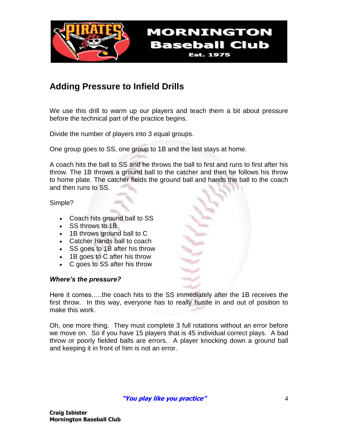

### **Adding Pressure to Infield Drills**

We use this drill to warm up our players and teach them a bit about pressure before the technical part of the practice begins.

**Est. 1975** 

Divide the number of players into 3 equal groups.

One group goes to SS, one group to 1B and the last stays at home.

A coach hits the ball to SS and he throws the ball to first and runs to first after his throw. The 1B throws a ground ball to the catcher and then he follows his throw to home plate. The catcher fields the ground ball and hands the ball to the coach and then runs to SS.

Simple?

- Coach hits ground ball to SS
- SS throws to 1B
- 1B throws ground ball to C
- Catcher hands ball to coach
- SS goes to 1B after his throw
- 1B goes to C after his throw
- C goes to SS after his throw

#### *Where's the pressure?*

Here it comes…..the coach hits to the SS immediately after the 1B receives the first throw. In this way, everyone has to really hustle in and out of position to make this work.

Oh, one more thing. They must complete 3 full rotations without an error before we move on. So if you have 15 players that is 45 individual correct plays. A bad throw or poorly fielded balls are errors. A player knocking down a ground ball and keeping it in front of him is not an error.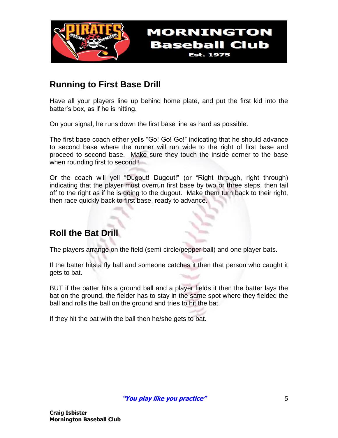

### **Running to First Base Drill**

Have all your players line up behind home plate, and put the first kid into the batter's box, as if he is hitting.

**MORNINGTON** 

**Baseball Club Est. 1975** 

On your signal, he runs down the first base line as hard as possible.

The first base coach either yells "Go! Go! Go!" indicating that he should advance to second base where the runner will run wide to the right of first base and proceed to second base. Make sure they touch the inside corner to the base when rounding first to second!!

Or the coach will yell "Dugout! Dugout!" (or "Right through, right through) indicating that the player must overrun first base by two or three steps, then tail off to the right as if he is going to the dugout. Make them turn back to their right, then race quickly back to first base, ready to advance.

## **Roll the Bat Drill**

The players arrange on the field (semi-circle/pepper ball) and one player bats.

If the batter hits a fly ball and someone catches it then that person who caught it gets to bat.

BUT if the batter hits a ground ball and a player fields it then the batter lays the bat on the ground, the fielder has to stay in the same spot where they fielded the ball and rolls the ball on the ground and tries to hit the bat.

If they hit the bat with the ball then he/she gets to bat.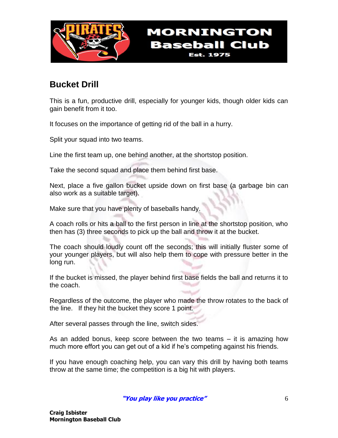

## **Bucket Drill**

This is a fun, productive drill, especially for younger kids, though older kids can gain benefit from it too.

It focuses on the importance of getting rid of the ball in a hurry.

Split your squad into two teams.

Line the first team up, one behind another, at the shortstop position.

Take the second squad and place them behind first base.

Next, place a five gallon bucket upside down on first base (a garbage bin can also work as a suitable target).

Make sure that you have plenty of baseballs handy.

A coach rolls or hits a ball to the first person in line at the shortstop position, who then has (3) three seconds to pick up the ball and throw it at the bucket.

The coach should loudly count off the seconds; this will initially fluster some of your younger players, but will also help them to cope with pressure better in the long run.

If the bucket is missed, the player behind first base fields the ball and returns it to the coach.

Regardless of the outcome, the player who made the throw rotates to the back of the line. If they hit the bucket they score 1 point.

After several passes through the line, switch sides.

As an added bonus, keep score between the two teams – it is amazing how much more effort you can get out of a kid if he's competing against his friends.

If you have enough coaching help, you can vary this drill by having both teams throw at the same time; the competition is a big hit with players.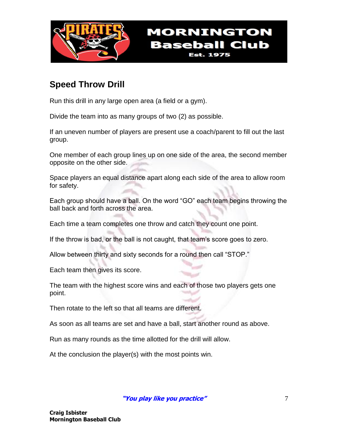

### **Speed Throw Drill**

Run this drill in any large open area (a field or a gym).

Divide the team into as many groups of two (2) as possible.

If an uneven number of players are present use a coach/parent to fill out the last group.

One member of each group lines up on one side of the area, the second member opposite on the other side.

Space players an equal distance apart along each side of the area to allow room for safety.

Each group should have a ball. On the word "GO" each team begins throwing the ball back and forth across the area.

Each time a team completes one throw and catch they count one point.

If the throw is bad, or the ball is not caught, that team's score goes to zero.

Allow between thirty and sixty seconds for a round then call "STOP."

Each team then gives its score.

The team with the highest score wins and each of those two players gets one point.

Then rotate to the left so that all teams are different.

As soon as all teams are set and have a ball, start another round as above.

Run as many rounds as the time allotted for the drill will allow.

At the conclusion the player(s) with the most points win.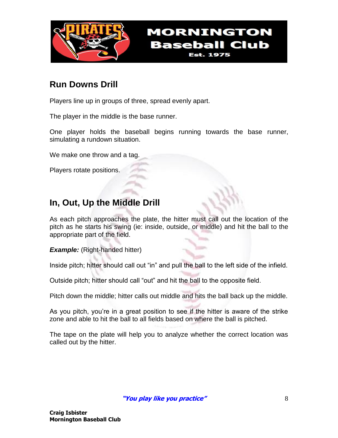

### **Run Downs Drill**

Players line up in groups of three, spread evenly apart.

The player in the middle is the base runner.

One player holds the baseball begins running towards the base runner, simulating a rundown situation.

We make one throw and a tag.

Players rotate positions.

## **In, Out, Up the Middle Drill**

As each pitch approaches the plate, the hitter must call out the location of the pitch as he starts his swing (ie: inside, outside, or middle) and hit the ball to the appropriate part of the field.

*Example:* (Right-handed hitter)

Inside pitch; hitter should call out "in" and pull the ball to the left side of the infield.

Outside pitch; hitter should call "out" and hit the ball to the opposite field.

Pitch down the middle; hitter calls out middle and hits the ball back up the middle.

As you pitch, you're in a great position to see if the hitter is aware of the strike zone and able to hit the ball to all fields based on where the ball is pitched.

The tape on the plate will help you to analyze whether the correct location was called out by the hitter.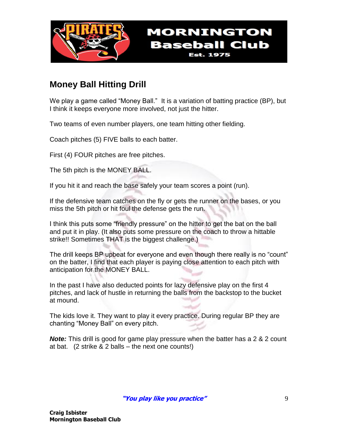

## **Money Ball Hitting Drill**

We play a game called "Money Ball." It is a variation of batting practice (BP), but I think it keeps everyone more involved, not just the hitter.

**MORNINGTON** 

**Baseball Club Est. 1975** 

Two teams of even number players, one team hitting other fielding.

Coach pitches (5) FIVE balls to each batter.

First (4) FOUR pitches are free pitches.

The 5th pitch is the MONEY BALL.

If you hit it and reach the base safely your team scores a point (run).

If the defensive team catches on the fly or gets the runner on the bases, or you miss the 5th pitch or hit foul the defense gets the run.

I think this puts some "friendly pressure" on the hitter to get the bat on the ball and put it in play. (It also puts some pressure on the coach to throw a hittable strike!! Sometimes THAT is the biggest challenge.)

The drill keeps BP upbeat for everyone and even though there really is no "count" on the batter, I find that each player is paying close attention to each pitch with anticipation for the MONEY BALL.

In the past I have also deducted points for lazy defensive play on the first 4 pitches, and lack of hustle in returning the balls from the backstop to the bucket at mound.

The kids love it. They want to play it every practice. During regular BP they are chanting "Money Ball" on every pitch.

*Note:* This drill is good for game play pressure when the batter has a 2 & 2 count at bat. (2 strike & 2 balls – the next one counts!)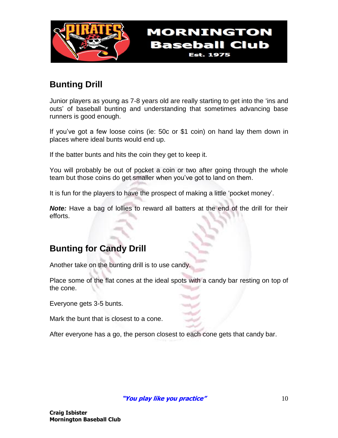

## **Bunting Drill**

Junior players as young as 7-8 years old are really starting to get into the 'ins and outs' of baseball bunting and understanding that sometimes advancing base runners is good enough.

**MORNINGTON** 

**Baseball Club Est. 1975** 

If you've got a few loose coins (ie: 50c or \$1 coin) on hand lay them down in places where ideal bunts would end up.

If the batter bunts and hits the coin they get to keep it.

You will probably be out of pocket a coin or two after going through the whole team but those coins do get smaller when you've got to land on them.

It is fun for the players to have the prospect of making a little 'pocket money'.

*Note:* Have a bag of lollies to reward all batters at the end of the drill for their efforts.

### **Bunting for Candy Drill**

Another take on the bunting drill is to use candy.

Place some of the flat cones at the ideal spots with a candy bar resting on top of the cone.

Everyone gets 3-5 bunts.

Mark the bunt that is closest to a cone.

After everyone has a go, the person closest to each cone gets that candy bar.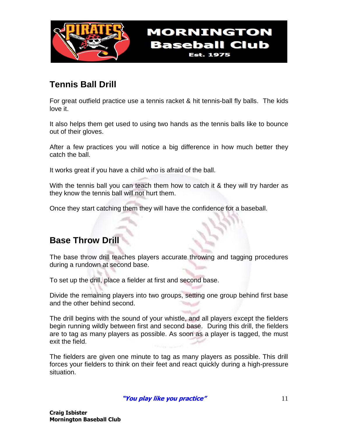

## **Tennis Ball Drill**

For great outfield practice use a tennis racket & hit tennis-ball fly balls. The kids love it.

**MORNINGTON** 

**Baseball Club Est. 1975** 

It also helps them get used to using two hands as the tennis balls like to bounce out of their gloves.

After a few practices you will notice a big difference in how much better they catch the ball.

It works great if you have a child who is afraid of the ball.

With the tennis ball you can teach them how to catch it & they will try harder as they know the tennis ball will not hurt them.

Once they start catching them they will have the confidence for a baseball.

### **Base Throw Drill**

The base throw drill teaches players accurate throwing and tagging procedures during a rundown at second base.

To set up the drill, place a fielder at first and second base.

Divide the remaining players into two groups, setting one group behind first base and the other behind second.

The drill begins with the sound of your whistle, and all players except the fielders begin running wildly between first and second base. During this drill, the fielders are to tag as many players as possible. As soon as a player is tagged, the must exit the field.

The fielders are given one minute to tag as many players as possible. This drill forces your fielders to think on their feet and react quickly during a high-pressure situation.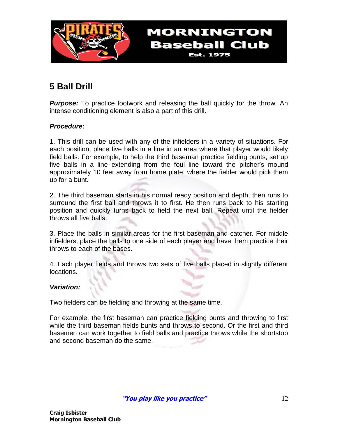

# **5 Ball Drill**

**Purpose:** To practice footwork and releasing the ball quickly for the throw. An intense conditioning element is also a part of this drill.

**MORNINGTON** 

**Baseball Club Est. 1975** 

### *Procedure:*

1. This drill can be used with any of the infielders in a variety of situations. For each position, place five balls in a line in an area where that player would likely field balls. For example, to help the third baseman practice fielding bunts, set up five balls in a line extending from the foul line toward the pitcher's mound approximately 10 feet away from home plate, where the fielder would pick them up for a bunt.

2. The third baseman starts in his normal ready position and depth, then runs to surround the first ball and throws it to first. He then runs back to his starting position and quickly turns back to field the next ball. Repeat until the fielder throws all five balls.

3. Place the balls in similar areas for the first baseman and catcher. For middle infielders, place the balls to one side of each player and have them practice their throws to each of the bases.

4. Each player fields and throws two sets of five balls placed in slightly different locations.

### *Variation:*

Two fielders can be fielding and throwing at the same time.

For example, the first baseman can practice fielding bunts and throwing to first while the third baseman fields bunts and throws to second. Or the first and third basemen can work together to field balls and practice throws while the shortstop and second baseman do the same.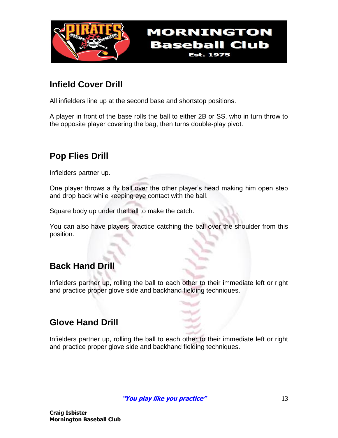

### **Infield Cover Drill**

All infielders line up at the second base and shortstop positions.

A player in front of the base rolls the ball to either 2B or SS. who in turn throw to the opposite player covering the bag, then turns double-play pivot.

**MORNINGTON** 

**Baseball Club Est. 1975** 

## **Pop Flies Drill**

Infielders partner up.

One player throws a fly ball over the other player's head making him open step and drop back while keeping eye contact with the ball.

Square body up under the ball to make the catch.

You can also have players practice catching the ball over the shoulder from this position.

### **Back Hand Drill**

Infielders partner up, rolling the ball to each other to their immediate left or right and practice proper glove side and backhand fielding techniques.

### **Glove Hand Drill**

Infielders partner up, rolling the ball to each other to their immediate left or right and practice proper glove side and backhand fielding techniques.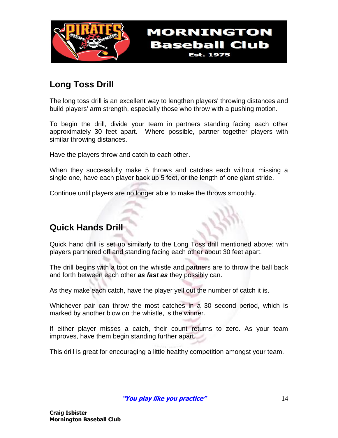

## **Long Toss Drill**

The long toss drill is an excellent way to lengthen players' throwing distances and build players' arm strength, especially those who throw with a pushing motion.

**MORNINGTON** 

**Baseball Club Est. 1975** 

To begin the drill, divide your team in partners standing facing each other approximately 30 feet apart. Where possible, partner together players with similar throwing distances.

Have the players throw and catch to each other.

When they successfully make 5 throws and catches each without missing a single one, have each player back up 5 feet, or the length of one giant stride.

Continue until players are no longer able to make the throws smoothly.

### **Quick Hands Drill**

Quick hand drill is set up similarly to the Long Toss drill mentioned above: with players partnered off and standing facing each other about 30 feet apart.

The drill begins with a toot on the whistle and partners are to throw the ball back and forth between each other *as fast as* they possibly can.

As they make each catch, have the player yell out the number of catch it is.

Whichever pair can throw the most catches in a 30 second period, which is marked by another blow on the whistle, is the winner.

If either player misses a catch, their count returns to zero. As your team improves, have them begin standing further apart.

This drill is great for encouraging a little healthy competition amongst your team.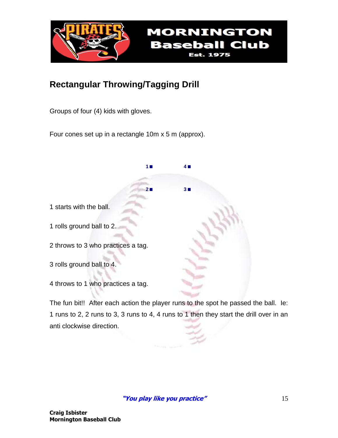

**<sup>1</sup>. <sup>4</sup>.**

**<sup>2</sup>. <sup>3</sup>.**

## **Rectangular Throwing/Tagging Drill**

Groups of four (4) kids with gloves.

Four cones set up in a rectangle 10m x 5 m (approx).

1 starts with the ball.

1 rolls ground ball to 2.

2 throws to 3 who practices a tag.

3 rolls ground ball to 4.

4 throws to 1 who practices a tag.

The fun bit!! After each action the player runs to the spot he passed the ball. Ie: 1 runs to 2, 2 runs to 3, 3 runs to 4, 4 runs to 1 then they start the drill over in an anti clockwise direction.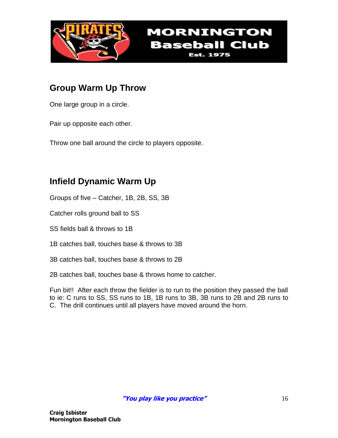

## **Group Warm Up Throw**

One large group in a circle.

Pair up opposite each other.

Throw one ball around the circle to players opposite.

## **Infield Dynamic Warm Up**

Groups of five – Catcher, 1B, 2B, SS, 3B

Catcher rolls ground ball to SS

SS fields ball & throws to 1B

1B catches ball, touches base & throws to 3B

3B catches ball, touches base & throws to 2B

2B catches ball, touches base & throws home to catcher.

Fun bit!! After each throw the fielder is to run to the position they passed the ball to ie: C runs to SS, SS runs to 1B, 1B runs to 3B, 3B runs to 2B and 2B runs to C. The drill continues until all players have moved around the horn.

**MORNINGTON** 

**Baseball Club Est. 1975**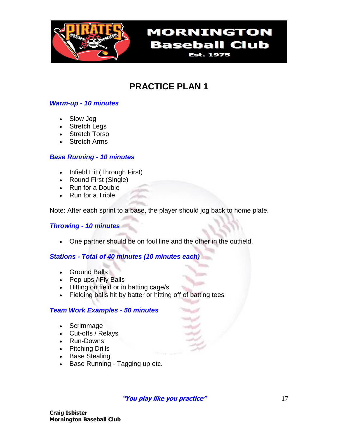

**MORNINGTON Baseball Club Est. 1975** 

# **PRACTICE PLAN 1**

### *Warm-up - 10 minutes*

- Slow Jog
- Stretch Legs
- Stretch Torso
- Stretch Arms

### *Base Running - 10 minutes*

- Infield Hit (Through First)
- Round First (Single)
- Run for a Double
- Run for a Triple

Note: After each sprint to a base, the player should jog back to home plate.

### *Throwing - 10 minutes*

One partner should be on foul line and the other in the outfield.

### *Stations - Total of 40 minutes (10 minutes each)*

- Ground Balls
- Pop-ups / Fly Balls
- Hitting on field or in batting cage/s
- Fielding balls hit by batter or hitting off of batting tees

### *Team Work Examples - 50 minutes*

- Scrimmage
- Cut-offs / Relays
- Run-Downs
- Pitching Drills
- Base Stealing
- Base Running Tagging up etc.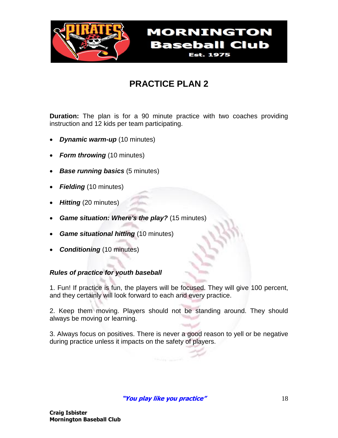

# **PRACTICE PLAN 2**

**Duration:** The plan is for a 90 minute practice with two coaches providing instruction and 12 kids per team participating.

- *Dynamic warm-up* (10 minutes)
- *Form throwing* (10 minutes)
- *Base running basics* (5 minutes)
- *Fielding* (10 minutes)
- *Hitting* (20 minutes)
- *Game situation: Where's the play?* (15 minutes)
- *Game situational hitting* (10 minutes)
- *Conditioning* (10 minutes)

### *Rules of practice for youth baseball*

1. Fun! If practice is fun, the players will be focused. They will give 100 percent, and they certainly will look forward to each and every practice.

2. Keep them moving. Players should not be standing around. They should always be moving or learning.

3. Always focus on positives. There is never a good reason to yell or be negative during practice unless it impacts on the safety of players.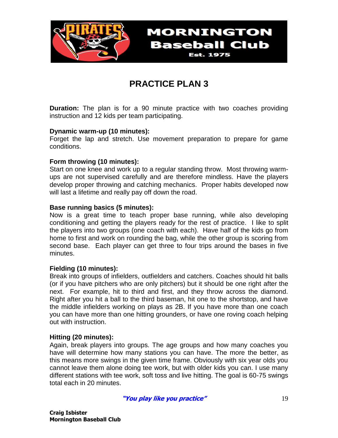

**PRACTICE PLAN 3**

**Baseball Club Est. 1975** 

**Duration:** The plan is for a 90 minute practice with two coaches providing instruction and 12 kids per team participating.

#### **Dynamic warm-up (10 minutes):**

Forget the lap and stretch. Use movement preparation to prepare for game conditions.

#### **Form throwing (10 minutes):**

Start on one knee and work up to a regular standing throw. Most throwing warmups are not supervised carefully and are therefore mindless. Have the players develop proper throwing and catching mechanics. Proper habits developed now will last a lifetime and really pay off down the road.

#### **Base running basics (5 minutes):**

Now is a great time to teach proper base running, while also developing conditioning and getting the players ready for the rest of practice. I like to split the players into two groups (one coach with each). Have half of the kids go from home to first and work on rounding the bag, while the other group is scoring from second base. Each player can get three to four trips around the bases in five minutes.

#### **Fielding (10 minutes):**

Break into groups of infielders, outfielders and catchers. Coaches should hit balls (or if you have pitchers who are only pitchers) but it should be one right after the next. For example, hit to third and first, and they throw across the diamond. Right after you hit a ball to the third baseman, hit one to the shortstop, and have the middle infielders working on plays as 2B. If you have more than one coach you can have more than one hitting grounders, or have one roving coach helping out with instruction.

#### **Hitting (20 minutes):**

Again, break players into groups. The age groups and how many coaches you have will determine how many stations you can have. The more the better, as this means more swings in the given time frame. Obviously with six year olds you cannot leave them alone doing tee work, but with older kids you can. I use many different stations with tee work, soft toss and live hitting. The goal is 60-75 swings total each in 20 minutes.